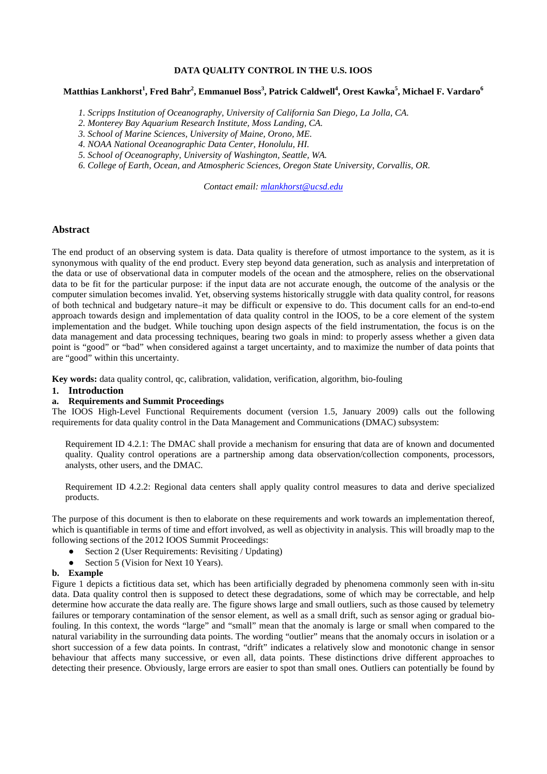## **DATA QUALITY CONTROL IN THE U.S. IOOS**

# **Matthias Lankhorst<sup>1</sup> , Fred Bahr<sup>2</sup> , Emmanuel Boss3 , Patrick Caldwell4 , Orest Kawka<sup>5</sup> , Michael F. Vardaro<sup>6</sup>**

- *1. Scripps Institution of Oceanography, University of California San Diego, La Jolla, CA.*
- *2. Monterey Bay Aquarium Research Institute, Moss Landing, CA.*
- *3. School of Marine Sciences, University of Maine, Orono, ME.*
- *4. NOAA National Oceanographic Data Center, Honolulu, HI.*
- *5. School of Oceanography, University of Washington, Seattle, WA.*
- *6. College of Earth, Ocean, and Atmospheric Sciences, Oregon State University, Corvallis, OR.*

*Contact email: [mlankhorst@ucsd.edu](mailto:mlankhorst@ucsd.edu)*

#### **Abstract**

The end product of an observing system is data. Data quality is therefore of utmost importance to the system, as it is synonymous with quality of the end product. Every step beyond data generation, such as analysis and interpretation of the data or use of observational data in computer models of the ocean and the atmosphere, relies on the observational data to be fit for the particular purpose: if the input data are not accurate enough, the outcome of the analysis or the computer simulation becomes invalid. Yet, observing systems historically struggle with data quality control, for reasons of both technical and budgetary nature–it may be difficult or expensive to do. This document calls for an end-to-end approach towards design and implementation of data quality control in the IOOS, to be a core element of the system implementation and the budget. While touching upon design aspects of the field instrumentation, the focus is on the data management and data processing techniques, bearing two goals in mind: to properly assess whether a given data point is "good" or "bad" when considered against a target uncertainty, and to maximize the number of data points that are "good" within this uncertainty.

**Key words:** data quality control, qc, calibration, validation, verification, algorithm, bio-fouling

## **1. Introduction**

#### **a. Requirements and Summit Proceedings**

The IOOS High-Level Functional Requirements document (version 1.5, January 2009) calls out the following requirements for data quality control in the Data Management and Communications (DMAC) subsystem:

Requirement ID 4.2.1: The DMAC shall provide a mechanism for ensuring that data are of known and documented quality. Quality control operations are a partnership among data observation/collection components, processors, analysts, other users, and the DMAC.

Requirement ID 4.2.2: Regional data centers shall apply quality control measures to data and derive specialized products.

The purpose of this document is then to elaborate on these requirements and work towards an implementation thereof, which is quantifiable in terms of time and effort involved, as well as objectivity in analysis. This will broadly map to the following sections of the 2012 IOOS Summit Proceedings:

- Section 2 (User Requirements: Revisiting / Updating)
- Section 5 (Vision for Next 10 Years).

#### **b. Example**

Figure 1 depicts a fictitious data set, which has been artificially degraded by phenomena commonly seen with in-situ data. Data quality control then is supposed to detect these degradations, some of which may be correctable, and help determine how accurate the data really are. The figure shows large and small outliers, such as those caused by telemetry failures or temporary contamination of the sensor element, as well as a small drift, such as sensor aging or gradual biofouling. In this context, the words "large" and "small" mean that the anomaly is large or small when compared to the natural variability in the surrounding data points. The wording "outlier" means that the anomaly occurs in isolation or a short succession of a few data points. In contrast, "drift" indicates a relatively slow and monotonic change in sensor behaviour that affects many successive, or even all, data points. These distinctions drive different approaches to detecting their presence. Obviously, large errors are easier to spot than small ones. Outliers can potentially be found by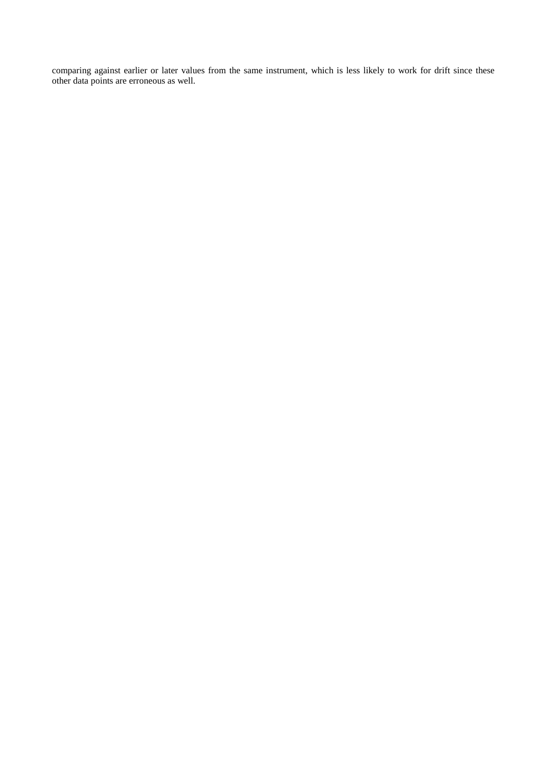comparing against earlier or later values from the same instrument, which is less likely to work for drift since these other data points are erroneous as well.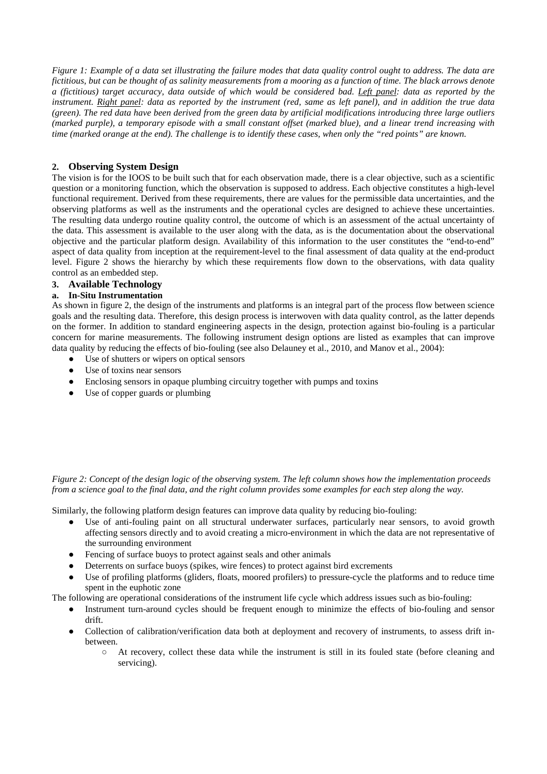*Figure 1: Example of a data set illustrating the failure modes that data quality control ought to address. The data are fictitious, but can be thought of as salinity measurements from a mooring as a function of time. The black arrows denote a (fictitious) target accuracy, data outside of which would be considered bad. Left panel: data as reported by the instrument. Right panel: data as reported by the instrument (red, same as left panel), and in addition the true data (green). The red data have been derived from the green data by artificial modifications introducing three large outliers (marked purple), a temporary episode with a small constant offset (marked blue), and a linear trend increasing with time (marked orange at the end). The challenge is to identify these cases, when only the "red points" are known.*

# **2. Observing System Design**

The vision is for the IOOS to be built such that for each observation made, there is a clear objective, such as a scientific question or a monitoring function, which the observation is supposed to address. Each objective constitutes a high-level functional requirement. Derived from these requirements, there are values for the permissible data uncertainties, and the observing platforms as well as the instruments and the operational cycles are designed to achieve these uncertainties. The resulting data undergo routine quality control, the outcome of which is an assessment of the actual uncertainty of the data. This assessment is available to the user along with the data, as is the documentation about the observational objective and the particular platform design. Availability of this information to the user constitutes the "end-to-end" aspect of data quality from inception at the requirement-level to the final assessment of data quality at the end-product level. Figure 2 shows the hierarchy by which these requirements flow down to the observations, with data quality control as an embedded step.

# **3. Available Technology**

# **a. In-Situ Instrumentation**

As shown in figure 2, the design of the instruments and platforms is an integral part of the process flow between science goals and the resulting data. Therefore, this design process is interwoven with data quality control, as the latter depends on the former. In addition to standard engineering aspects in the design, protection against bio-fouling is a particular concern for marine measurements. The following instrument design options are listed as examples that can improve data quality by reducing the effects of bio-fouling (see also Delauney et al., 2010, and Manov et al., 2004):

- Use of shutters or wipers on optical sensors
- Use of toxins near sensors
- Enclosing sensors in opaque plumbing circuitry together with pumps and toxins
- Use of copper guards or plumbing

*Figure 2: Concept of the design logic of the observing system. The left column shows how the implementation proceeds from a science goal to the final data, and the right column provides some examples for each step along the way.*

Similarly, the following platform design features can improve data quality by reducing bio-fouling:

- Use of anti-fouling paint on all structural underwater surfaces, particularly near sensors, to avoid growth affecting sensors directly and to avoid creating a micro-environment in which the data are not representative of the surrounding environment
- Fencing of surface buoys to protect against seals and other animals
- Deterrents on surface buoys (spikes, wire fences) to protect against bird excrements
- Use of profiling platforms (gliders, floats, moored profilers) to pressure-cycle the platforms and to reduce time spent in the euphotic zone

The following are operational considerations of the instrument life cycle which address issues such as bio-fouling:

- Instrument turn-around cycles should be frequent enough to minimize the effects of bio-fouling and sensor drift.
- Collection of calibration/verification data both at deployment and recovery of instruments, to assess drift inbetween.
	- At recovery, collect these data while the instrument is still in its fouled state (before cleaning and servicing).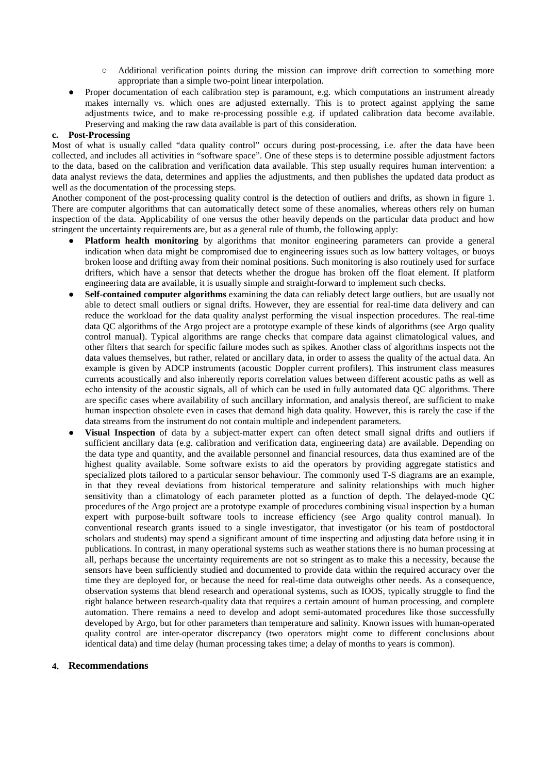- Additional verification points during the mission can improve drift correction to something more appropriate than a simple two-point linear interpolation.
- Proper documentation of each calibration step is paramount, e.g. which computations an instrument already makes internally vs. which ones are adjusted externally. This is to protect against applying the same adjustments twice, and to make re-processing possible e.g. if updated calibration data become available. Preserving and making the raw data available is part of this consideration.

#### **c. Post-Processing**

Most of what is usually called "data quality control" occurs during post-processing, i.e. after the data have been collected, and includes all activities in "software space". One of these steps is to determine possible adjustment factors to the data, based on the calibration and verification data available. This step usually requires human intervention: a data analyst reviews the data, determines and applies the adjustments, and then publishes the updated data product as well as the documentation of the processing steps.

Another component of the post-processing quality control is the detection of outliers and drifts, as shown in figure 1. There are computer algorithms that can automatically detect some of these anomalies, whereas others rely on human inspection of the data. Applicability of one versus the other heavily depends on the particular data product and how stringent the uncertainty requirements are, but as a general rule of thumb, the following apply:

- Platform health monitoring by algorithms that monitor engineering parameters can provide a general indication when data might be compromised due to engineering issues such as low battery voltages, or buoys broken loose and drifting away from their nominal positions. Such monitoring is also routinely used for surface drifters, which have a sensor that detects whether the drogue has broken off the float element. If platform engineering data are available, it is usually simple and straight-forward to implement such checks.
- **Self-contained computer algorithms** examining the data can reliably detect large outliers, but are usually not able to detect small outliers or signal drifts. However, they are essential for real-time data delivery and can reduce the workload for the data quality analyst performing the visual inspection procedures. The real-time data QC algorithms of the Argo project are a prototype example of these kinds of algorithms (see Argo quality control manual). Typical algorithms are range checks that compare data against climatological values, and other filters that search for specific failure modes such as spikes. Another class of algorithms inspects not the data values themselves, but rather, related or ancillary data, in order to assess the quality of the actual data. An example is given by ADCP instruments (acoustic Doppler current profilers). This instrument class measures currents acoustically and also inherently reports correlation values between different acoustic paths as well as echo intensity of the acoustic signals, all of which can be used in fully automated data QC algorithms. There are specific cases where availability of such ancillary information, and analysis thereof, are sufficient to make human inspection obsolete even in cases that demand high data quality. However, this is rarely the case if the data streams from the instrument do not contain multiple and independent parameters.
- **Visual Inspection** of data by a subject-matter expert can often detect small signal drifts and outliers if sufficient ancillary data (e.g. calibration and verification data, engineering data) are available. Depending on the data type and quantity, and the available personnel and financial resources, data thus examined are of the highest quality available. Some software exists to aid the operators by providing aggregate statistics and specialized plots tailored to a particular sensor behaviour. The commonly used T-S diagrams are an example, in that they reveal deviations from historical temperature and salinity relationships with much higher sensitivity than a climatology of each parameter plotted as a function of depth. The delayed-mode QC procedures of the Argo project are a prototype example of procedures combining visual inspection by a human expert with purpose-built software tools to increase efficiency (see Argo quality control manual). In conventional research grants issued to a single investigator, that investigator (or his team of postdoctoral scholars and students) may spend a significant amount of time inspecting and adjusting data before using it in publications. In contrast, in many operational systems such as weather stations there is no human processing at all, perhaps because the uncertainty requirements are not so stringent as to make this a necessity, because the sensors have been sufficiently studied and documented to provide data within the required accuracy over the time they are deployed for, or because the need for real-time data outweighs other needs. As a consequence, observation systems that blend research and operational systems, such as IOOS, typically struggle to find the right balance between research-quality data that requires a certain amount of human processing, and complete automation. There remains a need to develop and adopt semi-automated procedures like those successfully developed by Argo, but for other parameters than temperature and salinity. Known issues with human-operated quality control are inter-operator discrepancy (two operators might come to different conclusions about identical data) and time delay (human processing takes time; a delay of months to years is common).

## **4. Recommendations**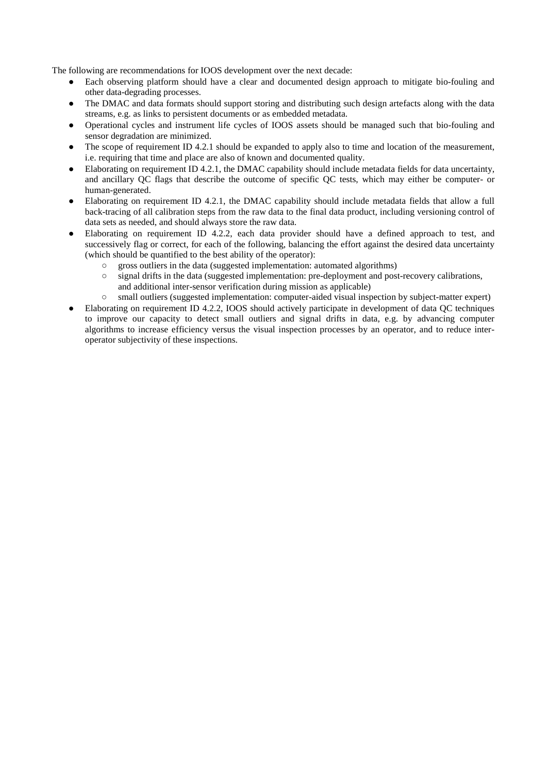The following are recommendations for IOOS development over the next decade:

- Each observing platform should have a clear and documented design approach to mitigate bio-fouling and other data-degrading processes.
- The DMAC and data formats should support storing and distributing such design artefacts along with the data streams, e.g. as links to persistent documents or as embedded metadata.
- Operational cycles and instrument life cycles of IOOS assets should be managed such that bio-fouling and sensor degradation are minimized.
- The scope of requirement ID 4.2.1 should be expanded to apply also to time and location of the measurement, i.e. requiring that time and place are also of known and documented quality.
- Elaborating on requirement ID 4.2.1, the DMAC capability should include metadata fields for data uncertainty, and ancillary QC flags that describe the outcome of specific QC tests, which may either be computer- or human-generated.
- Elaborating on requirement ID 4.2.1, the DMAC capability should include metadata fields that allow a full back-tracing of all calibration steps from the raw data to the final data product, including versioning control of data sets as needed, and should always store the raw data.
- Elaborating on requirement ID 4.2.2, each data provider should have a defined approach to test, and successively flag or correct, for each of the following, balancing the effort against the desired data uncertainty (which should be quantified to the best ability of the operator):
	- gross outliers in the data (suggested implementation: automated algorithms) signal drifts in the data (suggested implementation: pre-deployment and post
	- signal drifts in the data (suggested implementation: pre-deployment and post-recovery calibrations, and additional inter-sensor verification during mission as applicable)
	- small outliers (suggested implementation: computer-aided visual inspection by subject-matter expert)
- Elaborating on requirement ID 4.2.2, IOOS should actively participate in development of data QC techniques to improve our capacity to detect small outliers and signal drifts in data, e.g. by advancing computer algorithms to increase efficiency versus the visual inspection processes by an operator, and to reduce interoperator subjectivity of these inspections.